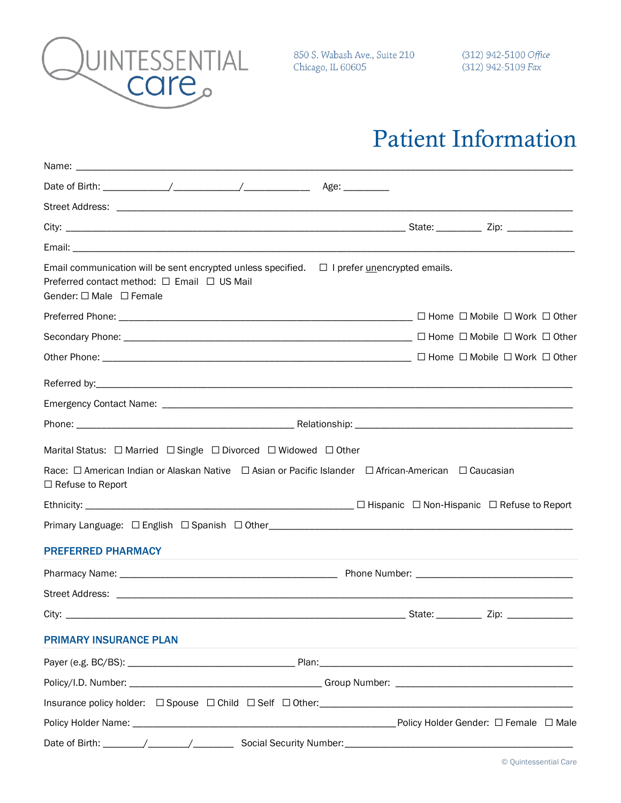

850 S. Wabash Ave., Suite 210 Chicago, IL 60605

## Patient Information

| Name: __                                                                                                                                                                                                               |                                                                                                                                                                                                                                        |
|------------------------------------------------------------------------------------------------------------------------------------------------------------------------------------------------------------------------|----------------------------------------------------------------------------------------------------------------------------------------------------------------------------------------------------------------------------------------|
|                                                                                                                                                                                                                        |                                                                                                                                                                                                                                        |
|                                                                                                                                                                                                                        |                                                                                                                                                                                                                                        |
|                                                                                                                                                                                                                        |                                                                                                                                                                                                                                        |
|                                                                                                                                                                                                                        |                                                                                                                                                                                                                                        |
| Email communication will be sent encrypted unless specified. $\Box$ I prefer <i>unencrypted emails</i> .<br>Preferred contact method: □ Email □ US Mail<br>Gender: $\Box$ Male $\Box$ Female                           |                                                                                                                                                                                                                                        |
|                                                                                                                                                                                                                        |                                                                                                                                                                                                                                        |
|                                                                                                                                                                                                                        |                                                                                                                                                                                                                                        |
|                                                                                                                                                                                                                        |                                                                                                                                                                                                                                        |
|                                                                                                                                                                                                                        |                                                                                                                                                                                                                                        |
|                                                                                                                                                                                                                        |                                                                                                                                                                                                                                        |
|                                                                                                                                                                                                                        |                                                                                                                                                                                                                                        |
| Marital Status: □ Married □ Single □ Divorced □ Widowed □ Other<br>Race: $\Box$ American Indian or Alaskan Native $\Box$ Asian or Pacific Islander $\Box$ African-American $\Box$ Caucasian<br>$\Box$ Refuse to Report |                                                                                                                                                                                                                                        |
|                                                                                                                                                                                                                        |                                                                                                                                                                                                                                        |
|                                                                                                                                                                                                                        |                                                                                                                                                                                                                                        |
| <b>PREFERRED PHARMACY</b>                                                                                                                                                                                              |                                                                                                                                                                                                                                        |
|                                                                                                                                                                                                                        |                                                                                                                                                                                                                                        |
|                                                                                                                                                                                                                        |                                                                                                                                                                                                                                        |
| City:                                                                                                                                                                                                                  | State: when the state of the state of the state of the state of the state of the state of the state of the state of the state of the state of the state of the state of the state of the state of the state of the state of th<br>Zip: |
| <b>PRIMARY INSURANCE PLAN</b>                                                                                                                                                                                          |                                                                                                                                                                                                                                        |
|                                                                                                                                                                                                                        |                                                                                                                                                                                                                                        |
|                                                                                                                                                                                                                        |                                                                                                                                                                                                                                        |
|                                                                                                                                                                                                                        |                                                                                                                                                                                                                                        |
|                                                                                                                                                                                                                        |                                                                                                                                                                                                                                        |
|                                                                                                                                                                                                                        |                                                                                                                                                                                                                                        |